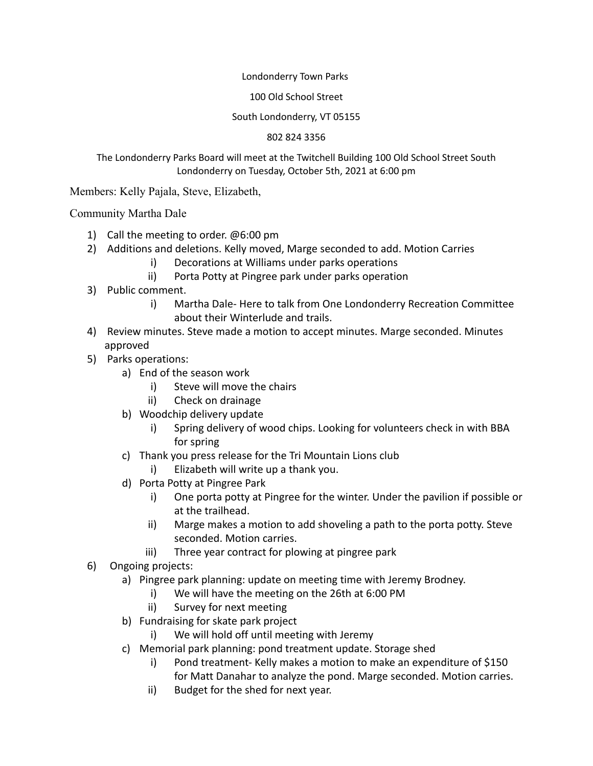### Londonderry Town Parks

### 100 Old School Street

## South Londonderry, VT 05155

### 802 824 3356

# The Londonderry Parks Board will meet at the Twitchell Building 100 Old School Street South Londonderry on Tuesday, October 5th, 2021 at 6:00 pm

Members: Kelly Pajala, Steve, Elizabeth,

Community Martha Dale

- 1) Call the meeting to order. @6:00 pm
- 2) Additions and deletions. Kelly moved, Marge seconded to add. Motion Carries
	- i) Decorations at Williams under parks operations
	- ii) Porta Potty at Pingree park under parks operation
- 3) Public comment.
	- i) Martha Dale- Here to talk from One Londonderry Recreation Committee about their Winterlude and trails.
- 4) Review minutes. Steve made a motion to accept minutes. Marge seconded. Minutes approved
- 5) Parks operations:
	- a) End of the season work
		- i) Steve will move the chairs
		- ii) Check on drainage
	- b) Woodchip delivery update
		- i) Spring delivery of wood chips. Looking for volunteers check in with BBA for spring
	- c) Thank you press release for the Tri Mountain Lions club
		- i) Elizabeth will write up a thank you.
	- d) Porta Potty at Pingree Park
		- i) One porta potty at Pingree for the winter. Under the pavilion if possible or at the trailhead.
		- ii) Marge makes a motion to add shoveling a path to the porta potty. Steve seconded. Motion carries.
		- iii) Three year contract for plowing at pingree park
- 6) Ongoing projects:
	- a) Pingree park planning: update on meeting time with Jeremy Brodney.
		- i) We will have the meeting on the 26th at 6:00 PM
		- ii) Survey for next meeting
	- b) Fundraising for skate park project
		- i) We will hold off until meeting with Jeremy
	- c) Memorial park planning: pond treatment update. Storage shed
		- i) Pond treatment- Kelly makes a motion to make an expenditure of \$150 for Matt Danahar to analyze the pond. Marge seconded. Motion carries.
		- ii) Budget for the shed for next year.